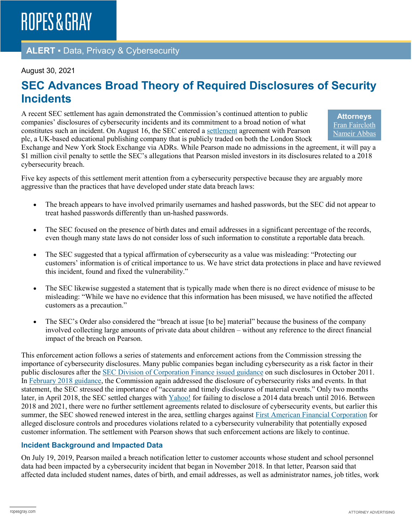### **ALERT** ▪ Data, Privacy & Cybersecurity

#### August 30, 2021

## **SEC Advances Broad Theory of Required Disclosures of Security Incidents**

A recent SEC settlement has again demonstrated the Commission's continued attention to public companies' disclosures of cybersecurity incidents and its commitment to a broad notion of what constitutes such an incident. On August 16, the SEC entered a [settlement](https://www.sec.gov/litigation/admin/2021/33-10963.pdf) agreement with Pearson plc, a UK-based educational publishing company that is publicly traded on both the London Stock

**Attorneys** [Fran Faircloth](https://www.ropesgray.com/en/biographies/f/fran-faircloth) [Nameir Abbas](https://www.ropesgray.com/en/biographies/a/Nameir-Abbas)

Exchange and New York Stock Exchange via ADRs. While Pearson made no admissions in the agreement, it will pay a \$1 million civil penalty to settle the SEC's allegations that Pearson misled investors in its disclosures related to a 2018 cybersecurity breach.

Five key aspects of this settlement merit attention from a cybersecurity perspective because they are arguably more aggressive than the practices that have developed under state data breach laws:

- The breach appears to have involved primarily usernames and hashed passwords, but the SEC did not appear to treat hashed passwords differently than un-hashed passwords.
- The SEC focused on the presence of birth dates and email addresses in a significant percentage of the records, even though many state laws do not consider loss of such information to constitute a reportable data breach.
- The SEC suggested that a typical affirmation of cybersecurity as a value was misleading: "Protecting our customers' information is of critical importance to us. We have strict data protections in place and have reviewed this incident, found and fixed the vulnerability."
- The SEC likewise suggested a statement that is typically made when there is no direct evidence of misuse to be misleading: "While we have no evidence that this information has been misused, we have notified the affected customers as a precaution."
- The SEC's Order also considered the "breach at issue [to be] material" because the business of the company involved collecting large amounts of private data about children – without any reference to the direct financial impact of the breach on Pearson.

This enforcement action follows a series of statements and enforcement actions from the Commission stressing the importance of cybersecurity disclosures. Many public companies began including cybersecurity as a risk factor in their public disclosures after the [SEC Division of Corporation Finance](https://www.sec.gov/divisions/corpfin/guidance/cfguidance-topic2.htm) issued guidance on such disclosures in October 2011. In [February 2018 guidance,](https://www.sec.gov/rules/interp/2018/33-10459.pdf) the Commission again addressed the disclosure of cybersecurity risks and events. In that statement, the SEC stressed the importance of "accurate and timely disclosures of material events." Only two months later, in April 2018, the SEC settled charges with [Yahoo!](https://www.sec.gov/news/press-release/2018-71) for failing to disclose a 2014 data breach until 2016. Between 2018 and 2021, there were no further settlement agreements related to disclosure of cybersecurity events, but earlier this summer, the SEC showed renewed interest in the area, settling charges against [First American Financial Corporation](https://www.sec.gov/news/press-release/2021-102) for alleged disclosure controls and procedures violations related to a cybersecurity vulnerability that potentially exposed customer information. The settlement with Pearson shows that such enforcement actions are likely to continue.

### **Incident Background and Impacted Data**

On July 19, 2019, Pearson mailed a breach notification letter to customer accounts whose student and school personnel data had been impacted by a cybersecurity incident that began in November 2018. In that letter, Pearson said that affected data included student names, dates of birth, and email addresses, as well as administrator names, job titles, work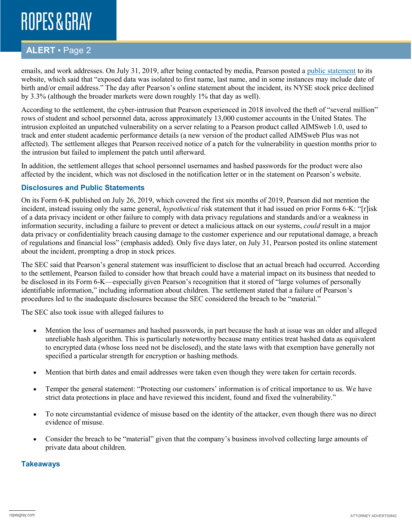## **ROPES & GRAY**

## **ALERT** ▪ Page 2

emails, and work addresses. On July 31, 2019, after being contacted by media, Pearson posted a [public statement](https://www.pearson.com/news-and-research/announcements/2019/07/pearson-customer-notification.html) to its website, which said that "exposed data was isolated to first name, last name, and in some instances may include date of birth and/or email address." The day after Pearson's online statement about the incident, its NYSE stock price declined by 3.3% (although the broader markets were down roughly 1% that day as well).

According to the settlement, the cyber-intrusion that Pearson experienced in 2018 involved the theft of "several million" rows of student and school personnel data, across approximately 13,000 customer accounts in the United States. The intrusion exploited an unpatched vulnerability on a server relating to a Pearson product called AIMSweb 1.0, used to track and enter student academic performance details (a new version of the product called AIMSweb Plus was not affected). The settlement alleges that Pearson received notice of a patch for the vulnerability in question months prior to the intrusion but failed to implement the patch until afterward.

In addition, the settlement alleges that school personnel usernames and hashed passwords for the product were also affected by the incident, which was not disclosed in the notification letter or in the statement on Pearson's website.

### **Disclosures and Public Statements**

On its Form 6-K published on July 26, 2019, which covered the first six months of 2019, Pearson did not mention the incident, instead issuing only the same general, *hypothetical* risk statement that it had issued on prior Forms 6-K: "[r]isk of a data privacy incident or other failure to comply with data privacy regulations and standards and/or a weakness in information security, including a failure to prevent or detect a malicious attack on our systems, *could* result in a major data privacy or confidentiality breach causing damage to the customer experience and our reputational damage, a breach of regulations and financial loss" (emphasis added). Only five days later, on July 31, Pearson posted its online statement about the incident, prompting a drop in stock prices.

The SEC said that Pearson's general statement was insufficient to disclose that an actual breach had occurred. According to the settlement, Pearson failed to consider how that breach could have a material impact on its business that needed to be disclosed in its Form 6-K—especially given Pearson's recognition that it stored of "large volumes of personally identifiable information," including information about children. The settlement stated that a failure of Pearson's procedures led to the inadequate disclosures because the SEC considered the breach to be "material."

The SEC also took issue with alleged failures to

- Mention the loss of usernames and hashed passwords, in part because the hash at issue was an older and alleged unreliable hash algorithm. This is particularly noteworthy because many entities treat hashed data as equivalent to encrypted data (whose loss need not be disclosed), and the state laws with that exemption have generally not specified a particular strength for encryption or hashing methods.
- Mention that birth dates and email addresses were taken even though they were taken for certain records.
- Temper the general statement: "Protecting our customers' information is of critical importance to us. We have strict data protections in place and have reviewed this incident, found and fixed the vulnerability."
- To note circumstantial evidence of misuse based on the identity of the attacker, even though there was no direct evidence of misuse.
- Consider the breach to be "material" given that the company's business involved collecting large amounts of private data about children.

#### **Takeaways**